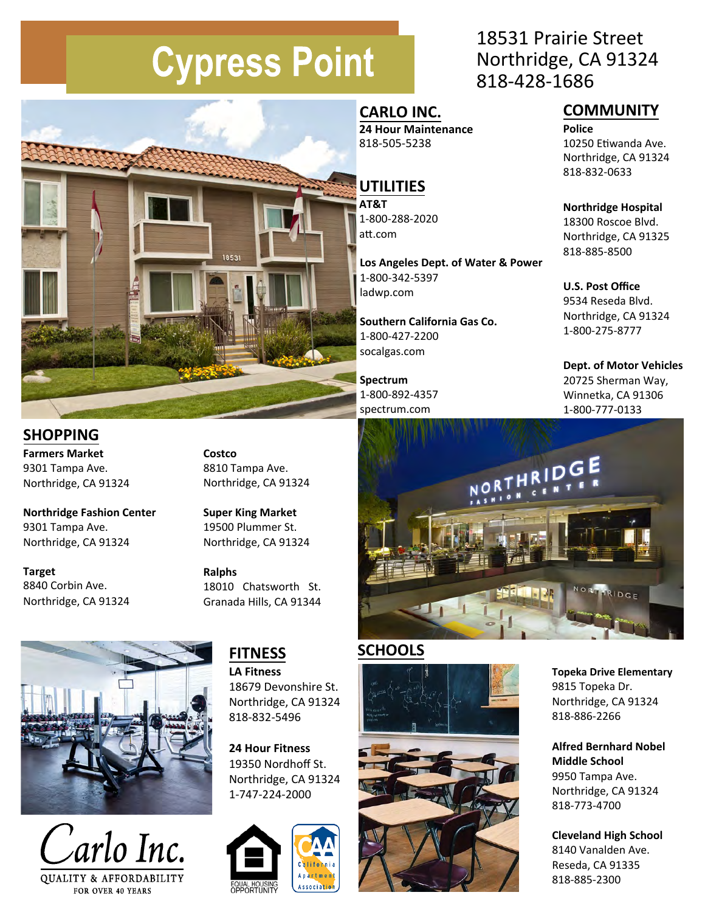# **Cypress Point**



#### **COMMUNITY**

**Police** 10250 Etiwanda Ave. Northridge, CA 91324 818‐832‐0633

**Northridge Hospital** 18300 Roscoe Blvd. Northridge, CA 91325 818‐885‐8500

**U.S. Post Office** 9534 Reseda Blvd. Northridge, CA 91324 1-800-275-8777

**Dept. of Motor Vehicles** 20725 Sherman Way, Winnetka, CA 91306 1-800‐777‐0133



## **CARLO INC.**

**24 Hour Maintenance** 818‐505‐5238

## **UTILITIES**

**AT&T** 1-800‐288‐2020 att.com

**Los Angeles Dept. of Water & Power** 1-800‐342‐5397 ladwp.com

**Southern California Gas Co.** 1-800-427-2200 socalgas.com

**Spectrum**  1-800-892-4357 spectrum.com

#### **SHOPPING**

**Farmers Market**  9301 Tampa Ave. Northridge, CA 91324

**Northridge Fashion Center**  9301 Tampa Ave. Northridge, CA 91324

**Target**  8840 Corbin Ave. Northridge, CA 91324 **Costco**  8810 Tampa Ave. Northridge, CA 91324

1853

**Super King Market**  19500 Plummer St. Northridge, CA 91324

**Ralphs** 18010 Chatsworth St. Granada Hills, CA 91344





## **FITNESS**

**LA Fitness**  18679 Devonshire St. Northridge, CA 91324 818‐832‐5496

**24 Hour Fitness**  19350 Nordhoff St. Northridge, CA 91324 1-747‐224‐2000



#### **SCHOOLS**





**Topeka Drive Elementary**  9815 Topeka Dr. Northridge, CA 91324 818-886-2266

**Alfred Bernhard Nobel Middle School**  9950 Tampa Ave. Northridge, CA 91324 818‐773‐4700

**Cleveland High School** 8140 Vanalden Ave. Reseda, CA 91335 818-885-2300